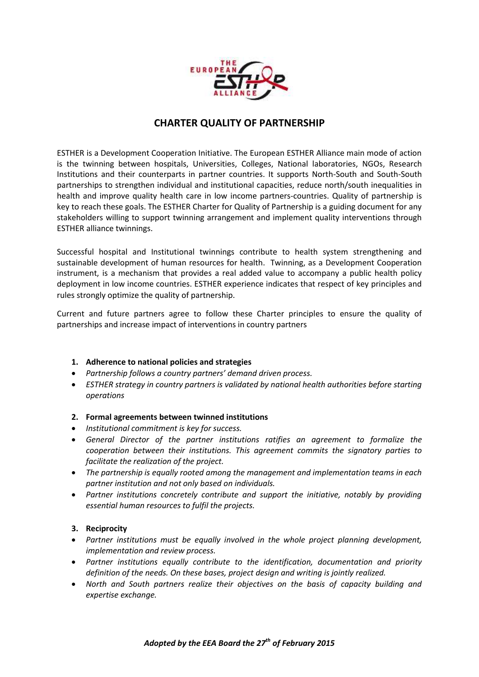

# **CHARTER QUALITY OF PARTNERSHIP**

ESTHER is a Development Cooperation Initiative. The European ESTHER Alliance main mode of action is the twinning between hospitals, Universities, Colleges, National laboratories, NGOs, Research Institutions and their counterparts in partner countries. It supports North-South and South-South partnerships to strengthen individual and institutional capacities, reduce north/south inequalities in health and improve quality health care in low income partners-countries. Quality of partnership is key to reach these goals. The ESTHER Charter for Quality of Partnership is a guiding document for any stakeholders willing to support twinning arrangement and implement quality interventions through ESTHER alliance twinnings.

Successful hospital and Institutional twinnings contribute to health system strengthening and sustainable development of human resources for health. Twinning, as a Development Cooperation instrument, is a mechanism that provides a real added value to accompany a public health policy deployment in low income countries. ESTHER experience indicates that respect of key principles and rules strongly optimize the quality of partnership.

Current and future partners agree to follow these Charter principles to ensure the quality of partnerships and increase impact of interventions in country partners

# **1. Adherence to national policies and strategies**

- *Partnership follows a country partners' demand driven process.*
- *ESTHER strategy in country partners is validated by national health authorities before starting operations*

#### **2. Formal agreements between twinned institutions**

- *Institutional commitment is key for success.*
- *General Director of the partner institutions ratifies an agreement to formalize the cooperation between their institutions. This agreement commits the signatory parties to facilitate the realization of the project.*
- *The partnership is equally rooted among the management and implementation teams in each partner institution and not only based on individuals.*
- *Partner institutions concretely contribute and support the initiative, notably by providing essential human resources to fulfil the projects.*

# **3. Reciprocity**

- *Partner institutions must be equally involved in the whole project planning development, implementation and review process.*
- *Partner institutions equally contribute to the identification, documentation and priority definition of the needs. On these bases, project design and writing is jointly realized.*
- *North and South partners realize their objectives on the basis of capacity building and expertise exchange.*